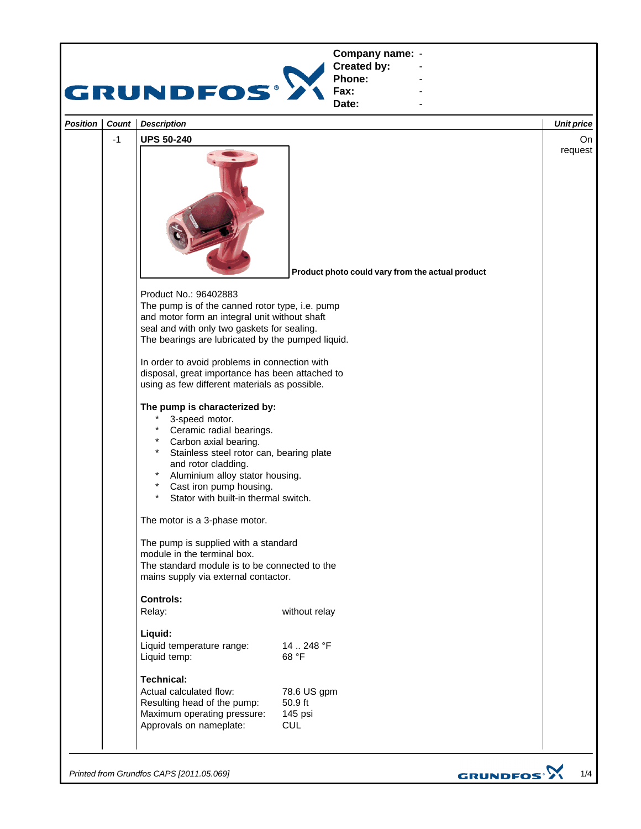

*Printed from Grundfos CAPS [2011.05.069]*

GRUNDFOS<sup>.</sup>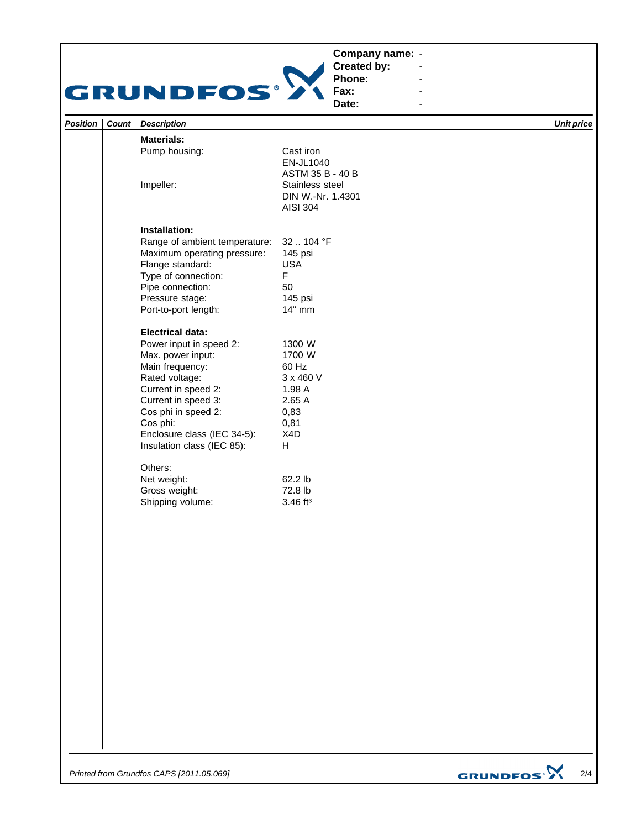## **Company name: -** Construction of the construction

![](_page_1_Picture_1.jpeg)

**Created by: Phone: Fax:**

**Date: -** Construction of the construction

**-** Andrew March 2014 **-** Andrew March 2014 **-** Andrew March 2014

| Position | Count | <b>Description</b>                                                                                                                                                                                                              |                                                                                                       | <b>Unit price</b> |
|----------|-------|---------------------------------------------------------------------------------------------------------------------------------------------------------------------------------------------------------------------------------|-------------------------------------------------------------------------------------------------------|-------------------|
|          |       | <b>Materials:</b>                                                                                                                                                                                                               |                                                                                                       |                   |
|          |       | Pump housing:<br>Impeller:                                                                                                                                                                                                      | Cast iron<br>EN-JL1040<br>ASTM 35 B - 40 B<br>Stainless steel<br>DIN W.-Nr. 1.4301<br><b>AISI 304</b> |                   |
|          |       | Installation:                                                                                                                                                                                                                   |                                                                                                       |                   |
|          |       | Range of ambient temperature:<br>Maximum operating pressure:<br>Flange standard:<br>Type of connection:<br>Pipe connection:<br>Pressure stage:<br>Port-to-port length:                                                          | 32104 °F<br>145 psi<br><b>USA</b><br>F<br>50<br>145 psi<br>14" mm                                     |                   |
|          |       | <b>Electrical data:</b>                                                                                                                                                                                                         |                                                                                                       |                   |
|          |       | Power input in speed 2:<br>Max. power input:<br>Main frequency:<br>Rated voltage:<br>Current in speed 2:<br>Current in speed 3:<br>Cos phi in speed 2:<br>Cos phi:<br>Enclosure class (IEC 34-5):<br>Insulation class (IEC 85): | 1300 W<br>1700 W<br>60 Hz<br>3 x 460 V<br>1.98 A<br>2.65 A<br>0,83<br>0,81<br>X4D<br>H                |                   |
|          |       | Others:                                                                                                                                                                                                                         |                                                                                                       |                   |
|          |       | Net weight:<br>Gross weight:<br>Shipping volume:                                                                                                                                                                                | 62.2 lb<br>72.8 lb<br>$3.46$ ft <sup>3</sup>                                                          |                   |
|          |       |                                                                                                                                                                                                                                 |                                                                                                       |                   |
|          |       |                                                                                                                                                                                                                                 |                                                                                                       |                   |
|          |       |                                                                                                                                                                                                                                 |                                                                                                       |                   |
|          |       |                                                                                                                                                                                                                                 |                                                                                                       |                   |
|          |       |                                                                                                                                                                                                                                 |                                                                                                       |                   |
|          |       |                                                                                                                                                                                                                                 |                                                                                                       |                   |

![](_page_1_Picture_6.jpeg)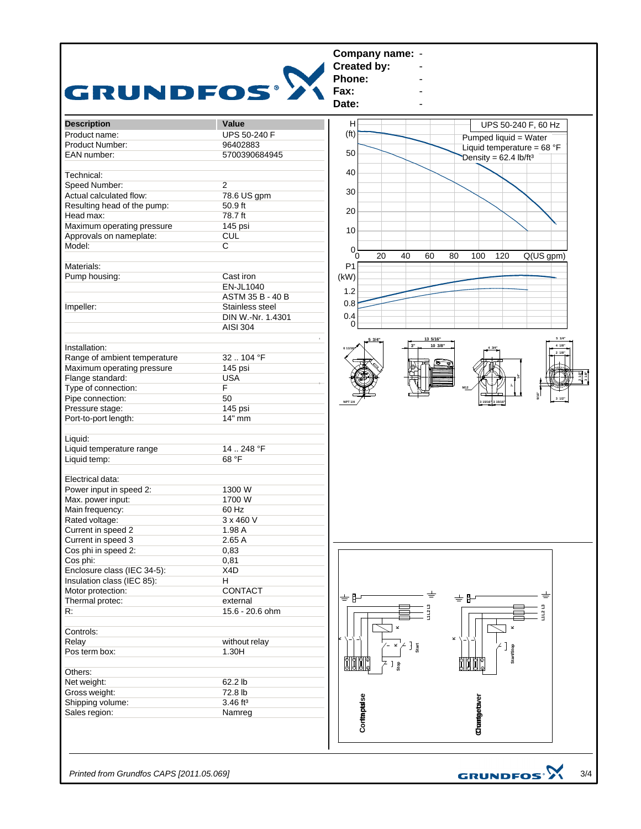![](_page_2_Figure_0.jpeg)